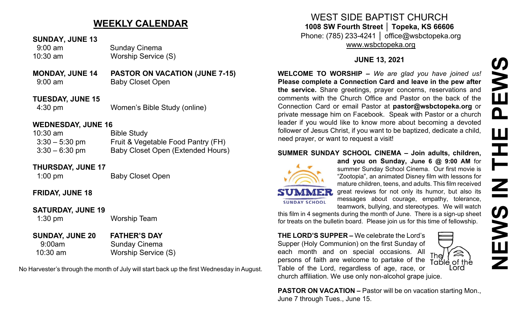# **NEWS IN THE PEWS**PEWS Ш HH Z **SWEN**

 $\widehat{\mathbb{A}}$ 

Lord

# **WEEKLY CALENDAR**

#### **SUNDAY, JUNE 13**

 9:00 am Sunday Cinema 10:30 am Worship Service (S)

#### **MONDAY, JUNE 14 PASTOR ON VACATION (JUNE 7-15)** 9:00 am Baby Closet Open

**TUESDAY, JUNE 15** 4:30 pm Women's Bible Study (online)

#### **WEDNESDAY, JUNE 16**

| $10:30$ am       | <b>Bible Study</b>                 |
|------------------|------------------------------------|
| $3:30 - 5:30$ pm | Fruit & Vegetable Food Pantry (FH) |
| $3:30 - 6:30$ pm | Baby Closet Open (Extended Hours)  |

#### **THURSDAY, JUNE 17**

1:00 pm Baby Closet Open

### **FRIDAY, JUNE 18**

#### **SATURDAY, JUNE 19**

1:30 pm Worship Team

## **SUNDAY, JUNE 20 FATHER'S DAY**

# 9:00am Sunday Cinema 10:30 am Worship Service (S)

No Harvester's through the month of July will start back up the first Wednesday in August.

WEST SIDE BAPTIST CHURCH **1008 SW Fourth Street │ Topeka, KS 66606**

Phone: (785) 233-4241 │ office@wsbctopeka.org [www.wsbctopeka.org](http://www.wsbctopeka.org/)

## **JUNE 13, 2021**

**WELCOME TO WORSHIP –** *We are glad you have joined us!* **Please complete a Connection Card and leave in the pew after the service.** Share greetings, prayer concerns, reservations and comments with the Church Office and Pastor on the back of the Connection Card or email Pastor at **pastor@wsbctopeka.org** or private message him on Facebook. [S](https://www.facebook.com/ivangreuter.)peak with Pastor or a church leader if you would like to know more about becoming a devoted follower of Jesus Christ, if you want to be baptized, dedicate a child, need prayer, or want to request a visit!

#### **SUMMER SUNDAY SCHOOL CINEMA – Join adults, children,**



**SUNDAY SCHOOL** 

**and you on Sunday, June 6 @ 9:00 AM** for summer Sunday School Cinema. Our first movie is "Zootopia", an animated Disney film with lessons for mature children, teens, and adults. This film received great reviews for not only its humor, but also its messages about courage, empathy, tolerance, teamwork, bullying, and stereotypes. We will watch

this film in 4 segments during the month of June. There is a sign-up sheet for treats on the bulletin board. Please join us for this time of fellowship.

**THE LORD'S SUPPER –** We celebrate the Lord's Supper (Holy Communion) on the first Sunday of each month and on special occasions. All The persons of faith are welcome to partake of the Table of the Table of the Lord, regardless of age, race, or church affiliation. We use only non-alcohol grape juice.

**PASTOR ON VACATION –** Pastor will be on vacation starting Mon., June 7 through Tues., June 15.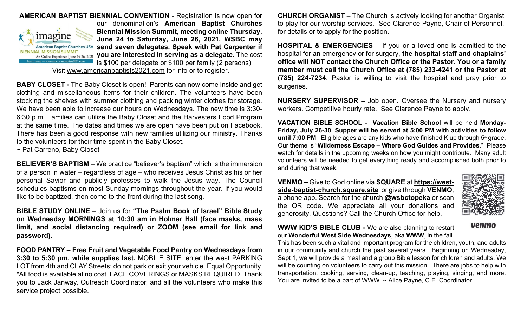

**AMERICAN BAPTIST BIENNIAL CONVENTION** - Registration is now open for our denomination's **American Baptist Churches Biennial Mission Summit**, **meeting online Thursday, June 24 to Saturday, June 26, 2021. WSBC may send seven delegates. Speak with Pat Carpenter if you are interested in serving as a delegate.** The cost is \$100 per delegate or \$100 per family (2 persons).

Visit [www.americanbaptists2021.com](http://www.americanbaptists2021.com/) for info or to register.

**BABY CLOSET -** The Baby Closet is open! Parents can now come inside and get clothing and miscellaneous items for their children. The volunteers have been stocking the shelves with summer clothing and packing winter clothes for storage. We have been able to increase our hours on Wednesdays. The new time is 3:30- 6:30 p.m. Families can utilize the Baby Closet and the Harvesters Food Program at the same time. The dates and times we are open have been put on Facebook. There has been a good response with new families utilizing our ministry. Thanks to the volunteers for their time spent in the Baby Closet.

~ Pat Carreno, Baby Closet

**BELIEVER'S BAPTISM** – We practice "believer's baptism" which is the immersion of a person in water – regardless of age – who receives Jesus Christ as his or her personal Savior and publicly professes to walk the Jesus way. The Council schedules baptisms on most Sunday mornings throughout the year. If you would like to be baptized, then come to the front during the last song.

**BIBLE STUDY ONLINE** – Join us for **"The Psalm Book of Israel" Bible Study on Wednesday MORNINGS at 10:30 am in Holmer Hall (face masks, mass limit, and social distancing required) or ZOOM (see email for link and password).** 

**FOOD PANTRY – Free Fruit and Vegetable Food Pantry on Wednesdays from 3:30 to 5:30 pm, while supplies last.** MOBILE SITE: enter the west PARKING LOT from 4th and CLAY Streets; do not park or exit your vehicle. Equal Opportunity. \*All food is available at no cost. FACE COVERINGS or MASKS REQUIRED. Thank you to Jack Janway, Outreach Coordinator, and all the volunteers who make this service project possible.

**CHURCH ORGANIST** – The Church is actively looking for another Organist to play for our worship services. See Clarence Payne, Chair of Personnel, for details or to apply for the position.

**HOSPITAL & EMERGENCIES –** If you or a loved one is admitted to the hospital for an emergency or for surgery, **the hospital staff and chaplains' office will NOT contact the Church Office or the Pastor**. **You or a family member must call the Church Office at (785) 233-4241 or the Pastor at (785) 224-7234**. Pastor is willing to visit the hospital and pray prior to surgeries.

**NURSERY SUPERVISOR –** Job open. Oversee the Nursery and nursery workers. Competitive hourly rate. See Clarence Payne to apply.

**VACATION BIBLE SCHOOL - Vacation Bible School** will be held **Monday-Friday, July 26-30**. **Supper will be served at 5:00 PM with activities to follow until 7:00 PM.** Eligible ages are any kids who have finished K up through  $5<sup>th</sup>$  grade. Our theme is "**Wilderness Escape – Where God Guides and Provides**." Please watch for details in the upcoming weeks on how you might contribute. Many adult volunteers will be needed to get everything ready and accomplished both prior to and during that week.

**VENMO –** Give to God online via **SQUARE** at **[https://west](https://west-side-baptist-church.square.site/)side-baptist-[church.square.site](https://west-side-baptist-church.square.site/)** or give through **VENMO**, a phone app. Search for the church **@wsbctopeka** or scan the QR code. We appreciate all your donations and generosity. Questions? Call the Church Office for help.



venmo

**WWW KID'S BIBLE CLUB -** We are also planning to restart our **Wonderful West Side Wednesdays**, aka **WWW**, in the fall.

This has been such a vital and important program for the children, youth, and adults in our community and church the past several years. Beginning on Wednesday, Sept 1, we will provide a meal and a group Bible lesson for children and adults. We will be counting on volunteers to carry out this mission. There are jobs to help with transportation, cooking, serving, clean-up, teaching, playing, singing, and more. You are invited to be a part of WWW. ~ Alice Payne, C.E. Coordinator